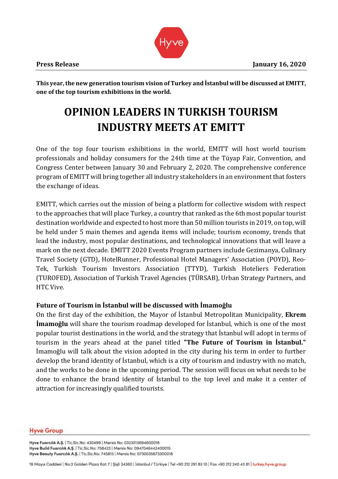

**This year, the new generation tourism vision of Turkey and İstanbul will be discussed at EMITT, one of the top tourism exhibitions in the world.** 

# **OPINION LEADERS IN TURKISH TOURISM INDUSTRY MEETS AT EMITT**

One of the top four tourism exhibitions in the world, EMITT will host world tourism professionals and holiday consumers for the 24th time at the Tüyap Fair, Convention, and Congress Center between January 30 and February 2, 2020. The comprehensive conference program of EMITT will bring together all industry stakeholders in an environment that fosters the exchange of ideas.

EMITT, which carries out the mission of being a platform for collective wisdom with respect to the approaches that will place Turkey, a country that ranked as the 6th most popular tourist destination worldwide and expected to host more than 50 million tourists in 2019, on top, will be held under 5 main themes and agenda items will include; tourism economy, trends that lead the industry, most popular destinations, and technological innovations that will leave a mark on the next decade. EMITT 2020 Events Program partners include Gezimanya, Culinary Travel Society (GTD), HotelRunner, Professional Hotel Managers' Association (POYD), Reo-Tek, Turkish Tourism Investors Association (TTYD), Turkish Hoteliers Federation (TUROFED), Association of Turkish Travel Agencies (TÜRSAB), Urban Strategy Partners, and HTC Vive.

# **Future of Tourism in İstanbul will be discussed with İmamoğlu**

On the first day of the exhibition, the Mayor of İstanbul Metropolitan Municipality, **Ekrem İmamoğlu** will share the tourism roadmap developed for İstanbul, which is one of the most popular tourist destinations in the world, and the strategy that İstanbul will adopt in terms of tourism in the years ahead at the panel titled **"The Future of Tourism in İstanbul."** İmamoğlu will talk about the vision adopted in the city during his term in order to further develop the brand identity of İstanbul, which is a city of tourism and industry with no match, and the works to be done in the upcoming period. The session will focus on what needs to be done to enhance the brand identity of İstanbul to the top level and make it a center of attraction for increasingly qualified tourists.

## **Hyve Group**

Hyve Fuarcılık A.Ş. | Tic.Sic.No: 430499 | Mersis No: 0323013694600018 Hyve Build Fuarcılık A.Ş. | Tic.Sic.No: 758423 | Mersis No: 0947046442400015 Hyve Beauty Fuarcılık A.Ş. | Tic.Sic.No: 745813 | Mersis No: 0730035673300018

19 Mayıs Caddesi | No:3 Golden Plaza Kat: 7 | Şişli 34360 | İstanbul / Türkiye | Tel +90 212 291 83 10 | Fax +90 212 240 43 81 | turkey.hyve.group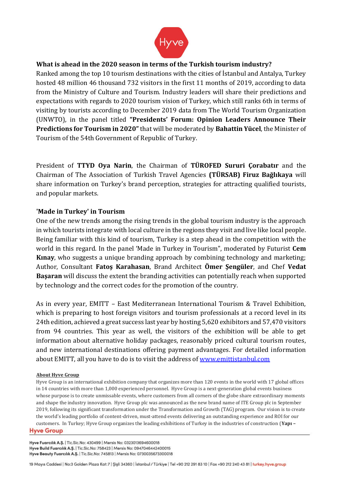

# **What is ahead in the 2020 season in terms of the Turkish tourism industry?**

Ranked among the top 10 tourism destinations with the cities of İstanbul and Antalya, Turkey hosted 48 million 46 thousand 732 visitors in the first 11 months of 2019, according to data from the Ministry of Culture and Tourism. Industry leaders will share their predictions and expectations with regards to 2020 tourism vision of Turkey, which still ranks 6th in terms of visiting by tourists according to December 2019 data from The World Tourism Organization (UNWTO), in the panel titled **"Presidents' Forum: Opinion Leaders Announce Their Predictions for Tourism in 2020"** that will be moderated by **Bahattin Yücel**, the Minister of Tourism of the 54th Government of Republic of Turkey.

President of **TTYD Oya Narin**, the Chairman of **TÜROFED Sururi Çorabatır** and the Chairman of The Association of Turkish Travel Agencies **(TÜRSAB) Firuz Bağlıkaya** will share information on Turkey's brand perception, strategies for attracting qualified tourists, and popular markets.

## **'Made in Turkey' in Tourism**

One of the new trends among the rising trends in the global tourism industry is the approach in which tourists integrate with local culture in the regions they visit and live like local people. Being familiar with this kind of tourism, Turkey is a step ahead in the competition with the world in this regard. In the panel 'Made in Turkey in Tourism", moderated by Futurist **Cem Kınay**, who suggests a unique branding approach by combining technology and marketing; Author, Consultant **Fatoş Karahasan**, Brand Architect **Ömer Şengüler**, and Chef **Vedat Başaran** will discuss the extent the branding activities can potentially reach when supported by technology and the correct codes for the promotion of the country.

As in every year, EMITT – East Mediterranean International Tourism & Travel Exhibition, which is preparing to host foreign visitors and tourism professionals at a record level in its 24th edition, achieved a great success last year by hosting 5,620 exhibitors and 57,470 visitors from 94 countries. This year as well, the visitors of the exhibition will be able to get information about alternative holiday packages, reasonably priced cultural tourism routes, and new international destinations offering payment advantages. For detailed information about EMITT, all you have to do is to visit the address of [www.emittistanbul.com](about:blank)

## **About Hyve Group**

Hyve Group is an international exhibition company that organizes more than 120 events in the world with 17 global offices in 14 countries with more than 1,000 experienced personnel. Hyve Group is a next-generation global events business whose purpose is to create unmissable events, where customers from all corners of the globe share extraordinary moments and shape the industry innovation. Hyve Group plc was announced as the new brand name of ITE Group plc in September 2019, following its significant transformation under the Transformation and Growth (TAG) program. Our vision is to create the world's leading portfolio of content-driven, must-attend events delivering an outstanding experience and ROI for our customers. In Turkey; Hyve Group organizes the leading exhibitions of Turkey in the industries of construction (**Yapı –Hyve Group** 

Hyve Fuarcılık A.Ş. | Tic.Sic.No: 430499 | Mersis No: 0323013694600018 Hyve Build Fuarcılık A.Ş. | Tic.Sic.No: 758423 | Mersis No: 0947046442400015 Hyve Beauty Fuarcılık A.Ş. | Tic.Sic.No: 745813 | Mersis No: 0730035673300018